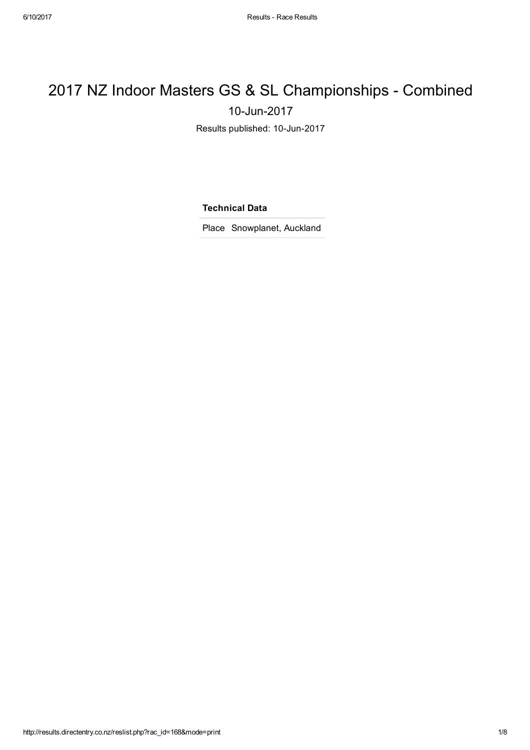## 2017 NZ Indoor Masters GS & SL Championships - Combined 10-Jun-2017

Results published: 10-Jun-2017

Technical Data

Place Snowplanet, Auckland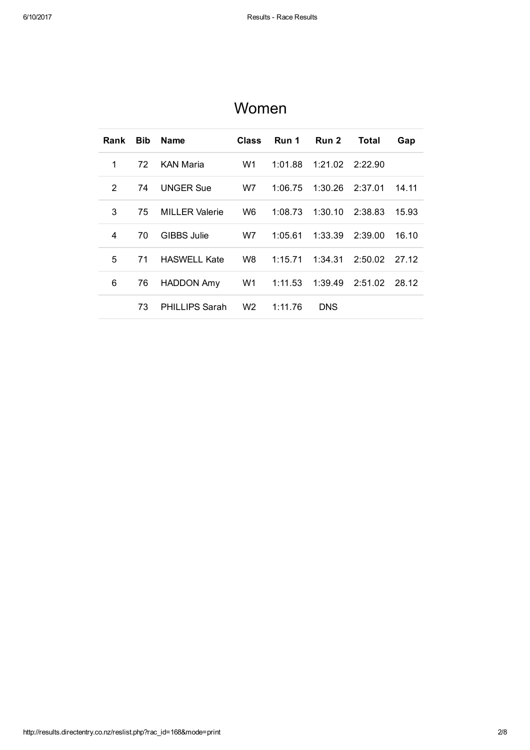| Rank | <b>Bib</b> | <b>Name</b>           | <b>Class</b>   | Run 1   | Run 2           | Total   | Gap   |
|------|------------|-----------------------|----------------|---------|-----------------|---------|-------|
| 1    | 72         | <b>KAN Maria</b>      | W1             | 1:01.88 | 1:21.02 2:22.90 |         |       |
| 2    | 74         | <b>UNGER Sue</b>      | W7             | 1:06.75 | 1:30.26         | 2:37.01 | 14.11 |
| 3    | 75         | <b>MILLER Valerie</b> | W6             | 1:08.73 | 1:30.10         | 2:38.83 | 15.93 |
| 4    | 70         | GIBBS Julie           | W7             | 1:05.61 | 1:33.39         | 2:39.00 | 16.10 |
| 5    | 71         | <b>HASWELL Kate</b>   | W8 l           | 1:15.71 | 1:34.31         | 2:50.02 | 27.12 |
| 6    | 76         | HADDON Amy            | W1             | 1:11.53 | 1:39.49         | 2:51.02 | 28.12 |
|      | 73         | <b>PHILLIPS Sarah</b> | W <sub>2</sub> | 1:11.76 | <b>DNS</b>      |         |       |

### Women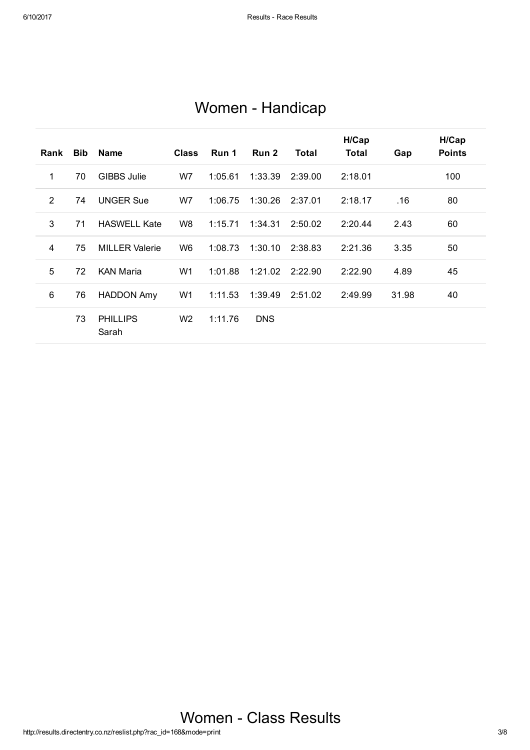|  | Women - Handicap |
|--|------------------|
|--|------------------|

| Rank | Bib | <b>Name</b>              | <b>Class</b>   | Run 1   | Run 2      | Total   | H/Cap<br>Total | Gap   | H/Cap<br><b>Points</b> |
|------|-----|--------------------------|----------------|---------|------------|---------|----------------|-------|------------------------|
| 1    | 70  | <b>GIBBS Julie</b>       | W7             | 1:05.61 | 1:33.39    | 2:39.00 | 2:18.01        |       | 100                    |
| 2    | 74  | <b>UNGER Sue</b>         | W7             | 1:06.75 | 1:30.26    | 2:37.01 | 2:18.17        | .16   | 80                     |
| 3    | 71  | <b>HASWELL Kate</b>      | W <sub>8</sub> | 1:15.71 | 1:34.31    | 2:50.02 | 2:20.44        | 2.43  | 60                     |
| 4    | 75  | <b>MILLER Valerie</b>    | W <sub>6</sub> | 1:08.73 | 1:30.10    | 2:38.83 | 2:21.36        | 3.35  | 50                     |
| 5    | 72  | <b>KAN Maria</b>         | W1             | 1:01.88 | 1:21.02    | 2:22.90 | 2:22.90        | 4.89  | 45                     |
| 6    | 76  | <b>HADDON Amy</b>        | W1             | 1:11.53 | 1:39.49    | 2:51.02 | 2:49.99        | 31.98 | 40                     |
|      | 73  | <b>PHILLIPS</b><br>Sarah | W <sub>2</sub> | 1:11.76 | <b>DNS</b> |         |                |       |                        |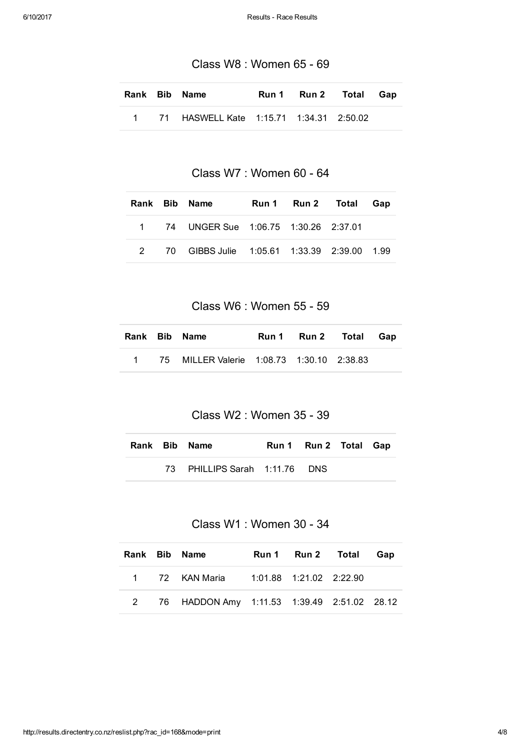Class W8 : Women 65 - 69

|  | Rank Bib Name                             |  | Run 1 Run 2 Total Gap |  |
|--|-------------------------------------------|--|-----------------------|--|
|  | 1 71 HASWELL Kate 1:15.71 1:34.31 2:50.02 |  |                       |  |

Class W7 : Women 60 - 64

|  | Rank Bib Name                                 |  | Run 1 Run 2 Total Gap |  |
|--|-----------------------------------------------|--|-----------------------|--|
|  | 1 74 UNGER Sue 1:06.75 1:30.26 2:37.01        |  |                       |  |
|  | 2 70 GIBBS Julie 1:05.61 1:33.39 2:39.00 1.99 |  |                       |  |

Class W6 : Women 55 - 59

|  | Rank Bib Name                               |  | Run 1 Run 2 Total Gap |  |
|--|---------------------------------------------|--|-----------------------|--|
|  | 1 75 MILLER Valerie 1:08.73 1:30.10 2:38.83 |  |                       |  |

#### Class W2 : Women 35 - 39

|  | Rank Bib Name                 | Run 1 Run 2 Total Gap |  |
|--|-------------------------------|-----------------------|--|
|  | 73 PHILLIPS Sarah 1:11.76 DNS |                       |  |

#### Class W1 : Women 30 - 34

|  | Rank Bib Name                                 |  | Run 1 Run 2 Total Gap |  |
|--|-----------------------------------------------|--|-----------------------|--|
|  | 1 72 KAN Maria 1:01.88 1:21.02 2:22.90        |  |                       |  |
|  | 2 76 HADDON Amy 1:11.53 1:39.49 2:51.02 28.12 |  |                       |  |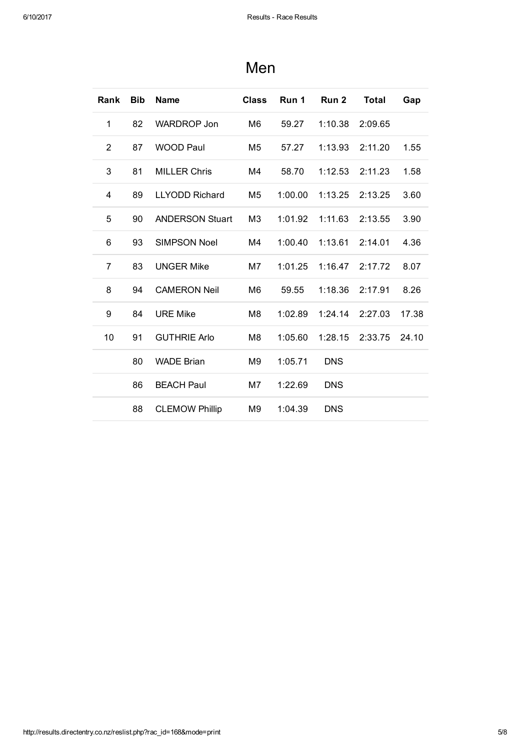| Rank           | <b>Bib</b> | <b>Name</b>            | <b>Class</b>   | Run 1   | Run <sub>2</sub> | <b>Total</b> | Gap   |
|----------------|------------|------------------------|----------------|---------|------------------|--------------|-------|
| 1              | 82         | <b>WARDROP Jon</b>     | M <sub>6</sub> | 59.27   | 1:10.38          | 2:09.65      |       |
| $\overline{2}$ | 87         | <b>WOOD Paul</b>       | M <sub>5</sub> | 57.27   | 1:13.93          | 2:11.20      | 1.55  |
| 3              | 81         | <b>MILLER Chris</b>    | M4             | 58.70   | 1:12.53          | 2:11.23      | 1.58  |
| 4              | 89         | <b>LLYODD Richard</b>  | M <sub>5</sub> | 1:00.00 | 1:13.25          | 2:13.25      | 3.60  |
| 5              | 90         | <b>ANDERSON Stuart</b> | M <sub>3</sub> | 1:01.92 | 1:11.63          | 2:13.55      | 3.90  |
| 6              | 93         | <b>SIMPSON Noel</b>    | M4             | 1:00.40 | 1:13.61          | 2:14.01      | 4.36  |
| $\overline{7}$ | 83         | <b>UNGER Mike</b>      | M7             | 1:01.25 | 1:16.47          | 2:17.72      | 8.07  |
| 8              | 94         | <b>CAMERON Neil</b>    | M <sub>6</sub> | 59.55   | 1:18.36          | 2:17.91      | 8.26  |
| 9              | 84         | <b>URE Mike</b>        | M <sub>8</sub> | 1:02.89 | 1:24.14          | 2:27.03      | 17.38 |
| 10             | 91         | <b>GUTHRIE Arlo</b>    | M <sub>8</sub> | 1:05.60 | 1:28.15          | 2:33.75      | 24.10 |
|                | 80         | <b>WADE Brian</b>      | M <sub>9</sub> | 1:05.71 | <b>DNS</b>       |              |       |
|                | 86         | <b>BEACH Paul</b>      | M7             | 1:22.69 | <b>DNS</b>       |              |       |
|                | 88         | <b>CLEMOW Phillip</b>  | M <sub>9</sub> | 1:04.39 | <b>DNS</b>       |              |       |

### Men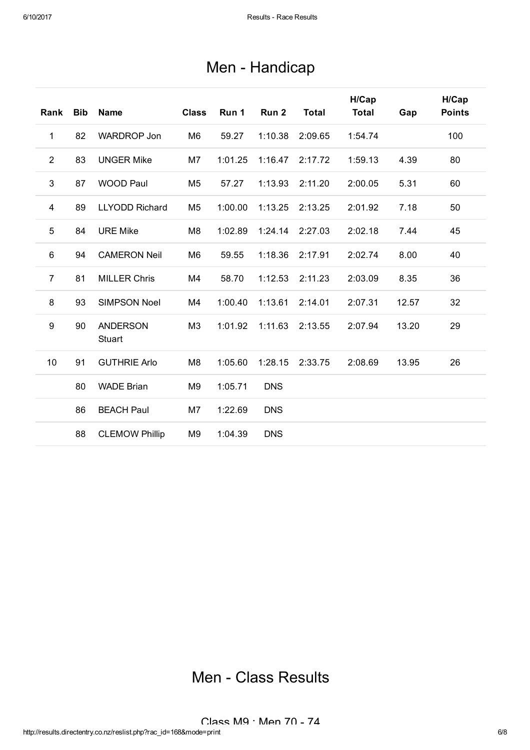| Men - Handicap |  |
|----------------|--|
|----------------|--|

| Rank           | <b>Bib</b> | <b>Name</b>               | <b>Class</b>   | Run 1   | Run <sub>2</sub> | <b>Total</b> | H/Cap<br><b>Total</b> | Gap   | H/Cap<br><b>Points</b> |
|----------------|------------|---------------------------|----------------|---------|------------------|--------------|-----------------------|-------|------------------------|
| 1              | 82         | <b>WARDROP Jon</b>        | M <sub>6</sub> | 59.27   | 1:10.38          | 2:09.65      | 1:54.74               |       | 100                    |
| $\overline{2}$ | 83         | <b>UNGER Mike</b>         | M7             | 1:01.25 | 1:16.47          | 2:17.72      | 1:59.13               | 4.39  | 80                     |
| 3              | 87         | <b>WOOD Paul</b>          | M <sub>5</sub> | 57.27   | 1:13.93          | 2:11.20      | 2:00.05               | 5.31  | 60                     |
| 4              | 89         | <b>LLYODD Richard</b>     | M <sub>5</sub> | 1:00.00 | 1:13.25          | 2:13.25      | 2:01.92               | 7.18  | 50                     |
| 5              | 84         | <b>URE Mike</b>           | M <sub>8</sub> | 1:02.89 | 1:24.14          | 2:27.03      | 2:02.18               | 7.44  | 45                     |
| 6              | 94         | <b>CAMERON Neil</b>       | M <sub>6</sub> | 59.55   | 1:18.36          | 2:17.91      | 2:02.74               | 8.00  | 40                     |
| $\overline{7}$ | 81         | <b>MILLER Chris</b>       | M4             | 58.70   | 1:12.53          | 2:11.23      | 2:03.09               | 8.35  | 36                     |
| 8              | 93         | <b>SIMPSON Noel</b>       | M4             | 1:00.40 | 1:13.61          | 2:14.01      | 2:07.31               | 12.57 | 32                     |
| 9              | 90         | <b>ANDERSON</b><br>Stuart | M <sub>3</sub> | 1:01.92 | 1:11.63          | 2:13.55      | 2:07.94               | 13.20 | 29                     |
| 10             | 91         | <b>GUTHRIE Arlo</b>       | M <sub>8</sub> | 1:05.60 | 1:28.15          | 2:33.75      | 2:08.69               | 13.95 | 26                     |
|                | 80         | <b>WADE Brian</b>         | M <sub>9</sub> | 1:05.71 | <b>DNS</b>       |              |                       |       |                        |
|                | 86         | <b>BEACH Paul</b>         | M7             | 1:22.69 | <b>DNS</b>       |              |                       |       |                        |
|                | 88         | <b>CLEMOW Phillip</b>     | M <sub>9</sub> | 1:04.39 | <b>DNS</b>       |              |                       |       |                        |

# Men - Class Results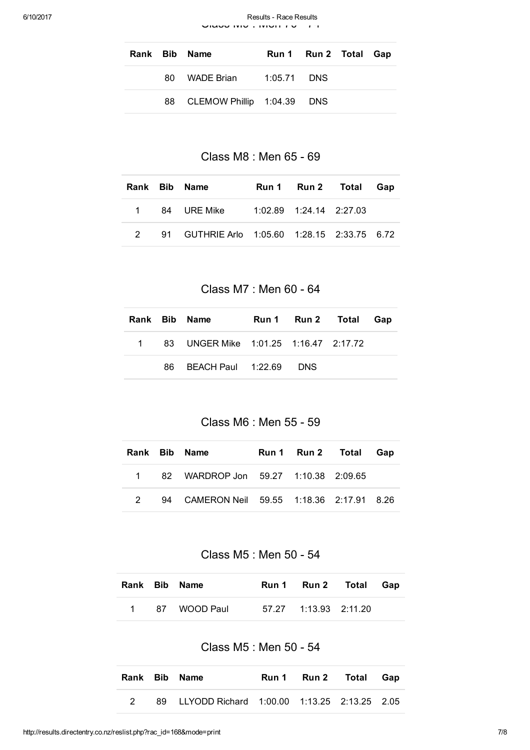6/10/2017 **Results - Race Results Results** - Race Results Class M9 : MONTE V 74

|  | Rank Bib Name                 | Run 1 Run 2 Total Gap |  |
|--|-------------------------------|-----------------------|--|
|  | 80 WADE Brian 1:05.71 DNS     |                       |  |
|  | 88 CLEMOW Phillip 1:04.39 DNS |                       |  |

Class M8 : Men 65 - 69

|  | Rank Bib Name                                  |                               | Run 1 Run 2 Total Gap |  |
|--|------------------------------------------------|-------------------------------|-----------------------|--|
|  |                                                | $1:02.89$ $1:24.14$ $2:27.03$ |                       |  |
|  | 2 91 GUTHRIE Arlo 1:05.60 1:28.15 2:33.75 6.72 |                               |                       |  |

Class M7 : Men 60 - 64

|  | Rank Bib Name                           |  | Run 1 Run 2 Total Gap |  |
|--|-----------------------------------------|--|-----------------------|--|
|  | 1 83 UNGER Mike 1:01.25 1:16.47 2:17.72 |  |                       |  |
|  | 86 BEACH Paul 1:22.69 DNS               |  |                       |  |

Class M6 : Men 55 - 59

|               | Rank Bib Name                              | Run 1 Run 2 Total Gap |  |
|---------------|--------------------------------------------|-----------------------|--|
|               | 1 82 WARDROP Jon 59.27 1:10.38 2:09.65     |                       |  |
| $\mathcal{P}$ | 94 CAMERON Neil 59.55 1:18.36 2:17.91 8.26 |                       |  |

Class M5 : Men 50 - 54

|  | Rank Bib Name  | Run 1 Run 2 Total Gap |  |
|--|----------------|-----------------------|--|
|  | 1 87 WOOD Paul |                       |  |

Class M5 : Men 50 - 54

|  | Rank Bib Name                                  |  | Run 1 Run 2 Total Gap |  |
|--|------------------------------------------------|--|-----------------------|--|
|  | 89 LLYODD Richard 1:00.00 1:13.25 2:13.25 2.05 |  |                       |  |